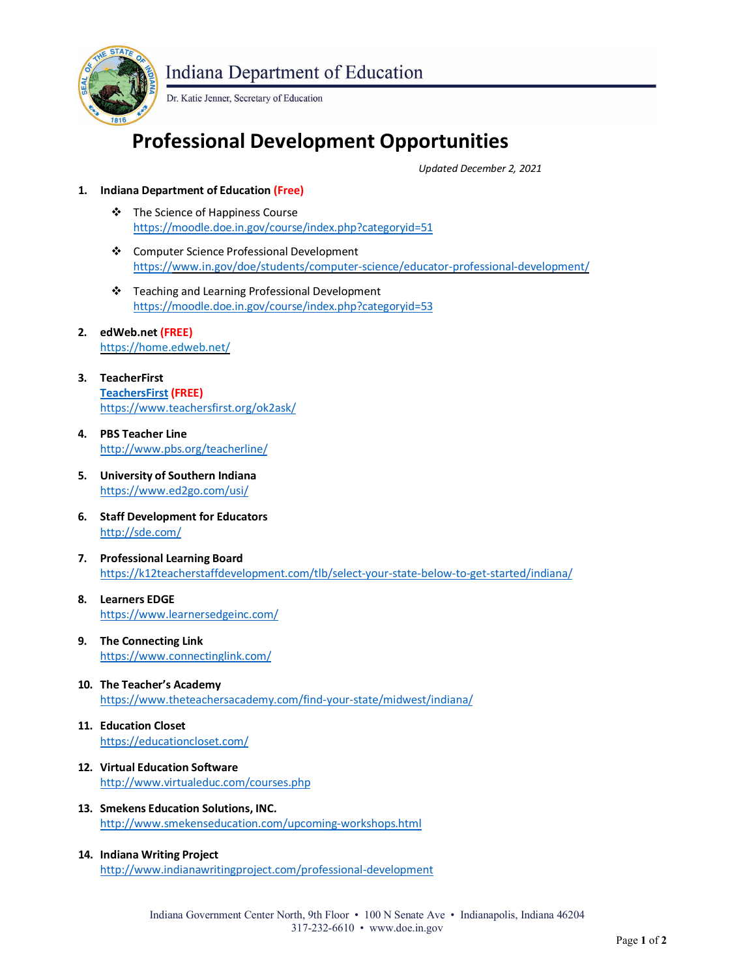

**Indiana Department of Education** 

Dr. Katie Jenner, Secretary of Education

## **Professional Development Opportunities**

*Updated December 2, 2021*

- **1. Indiana Department of Education (Free)**
	- **❖** The Science of Happiness Course https://moodle.doe.in.gov/course/index.php?categoryid=51
	- Computer Science Professional Development https://www.in.gov/doe/students/computer-science/educator-professional-development/
	- Teaching and Learning Professional Development https://moodle.doe.in.gov/course/index.php?categoryid=53
- **2. edWeb.net (FREE)** <https://home.edweb.net/>
- **3. [TeacherFirst](https://www.teachersfirst.org/ok2ask/) TeachersFirst (FREE)** https:/[/www.teachersfirst.org/ok2ask/](http://www.teachersfirst.org/ok2ask/)
- **4. PBS Teacher Line** <http://www.pbs.org/teacherline/>
- **5. University of Southern Indiana** https:[//www.ed2go.com/usi/](http://www.ed2go.com/usi/)
- **6. Staff Development for Educators** <http://sde.com/>
- **7. Professional Learning Board** https://k12teacherstaffdevelopment.com/tlb/select-your-state-below-to-get-started/indiana/
- **8. Learners EDGE** https:/[/www.learnersedgeinc.com/](http://www.learnersedgeinc.com/)
- **9. The Connecting Link** https:[//www.connectinglink.com/](http://www.connectinglink.com/)
- **10. The Teacher's Academy** https:/[/www.theteachersacademy.com/find-your-state/midwest/indiana/](http://www.theteachersacademy.com/find-your-state/midwest/indiana/)
- **11. Education Closet** https://educationcloset.com/
- **12. Virtual Education Software** <http://www.virtualeduc.com/courses.php>
- **13. Smekens Education Solutions, INC.** <http://www.smekenseducation.com/upcoming-workshops.html>
- **14. Indiana Writing Project** <http://www.indianawritingproject.com/professional-development>